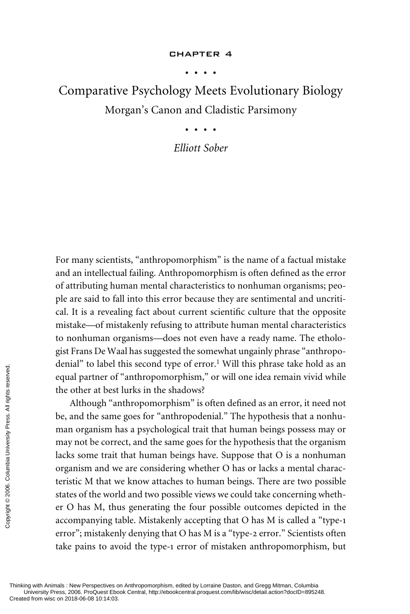## chapter 4

• • • •

Comparative Psychology Meets Evolutionary Biology Morgan's Canon and Cladistic Parsimony

• • • •

Elliott Sober

For many scientists, "anthropomorphism" is the name of a factual mistake and an intellectual failing. Anthropomorphism is often defined as the error of attributing human mental characteristics to nonhuman organisms; people are said to fall into this error because they are sentimental and uncritical. It is a revealing fact about current scientific culture that the opposite mistake—of mistakenly refusing to attribute human mental characteristics to nonhuman organisms—does not even have a ready name. The ethologist Frans De Waal has suggested the somewhat ungainly phrase "anthropodenial" to label this second type of error.<sup>1</sup> Will this phrase take hold as an equal partner of "anthropomorphism," or will one idea remain vivid while the other at best lurks in the shadows?

Although "anthropomorphism" is often defined as an error, it need not be, and the same goes for "anthropodenial." The hypothesis that a nonhuman organism has a psychological trait that human beings possess may or may not be correct, and the same goes for the hypothesis that the organism lacks some trait that human beings have. Suppose that O is a nonhuman organism and we are considering whether O has or lacks a mental characteristic M that we know attaches to human beings. There are two possible states of the world and two possible views we could take concerning whether O has M, thus generating the four possible outcomes depicted in the accompanying table. Mistakenly accepting that O has M is called a "type-1 error"; mistakenly denying that O has M is a "type-2 error." Scientists often take pains to avoid the type-1 error of mistaken anthropomorphism, but Example and the other at best<br>equal partner of<br>the other at best<br>Although "are<br>the same<br>man organism have many not be corre<br>lacks some trait<br>distance that we states of the worl<br>er O has M, thu<br>accompanying ta<br>error", mista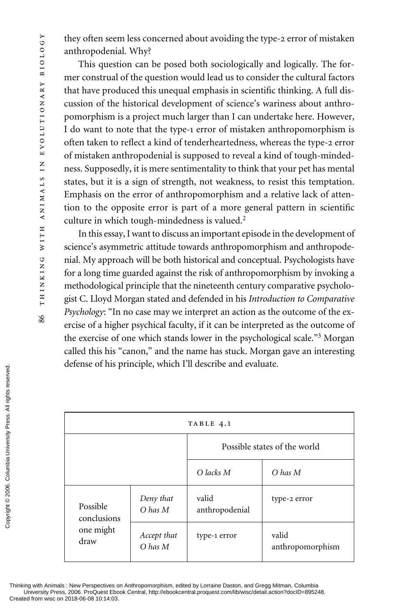they often seem less concerned about avoiding the type-2 error of mistaken anthropodenial. Why?

This question can be posed both sociologically and logically. The former construal of the question would lead us to consider the cultural factors that have produced this unequal emphasis in scientific thinking. A full discussion of the historical development of science's wariness about anthropomorphism is a project much larger than I can undertake here. However, I do want to note that the type-1 error of mistaken anthropomorphism is often taken to reflect a kind of tenderheartedness, whereas the type-2 error of mistaken anthropodenial is supposed to reveal a kind of tough-mindedness. Supposedly, it is mere sentimentality to think that your pet has mental states, but it is a sign of strength, not weakness, to resist this temptation. Emphasis on the error of anthropomorphism and a relative lack of attention to the opposite error is part of a more general pattern in scientific culture in which tough-mindedness is valued.<sup>2</sup>

In this essay, I want to discuss an important episode in the development of science's asymmetric attitude towards anthropomorphism and anthropodenial. My approach will be both historical and conceptual. Psychologists have for a long time guarded against the risk of anthropomorphism by invoking a methodological principle that the nineteenth century comparative psychologist C. Lloyd Morgan stated and defended in his *Introduction to Comparative Psychology*: "In no case may we interpret an action as the outcome of the exercise of a higher psychical faculty, if it can be interpreted as the outcome of the exercise of one which stands lower in the psychological scale."3 Morgan called this his "canon," and the name has stuck. Morgan gave an interesting defense of his principle, which I'll describe and evaluate.

|  | TABLE 4.1                                    |                            |                              |                           |
|--|----------------------------------------------|----------------------------|------------------------------|---------------------------|
|  |                                              |                            | Possible states of the world |                           |
|  |                                              |                            | $O$ lacks $M$                | $O$ has $M$               |
|  | Possible<br>conclusions<br>one might<br>draw | Deny that<br>$O$ has $M$   | valid<br>anthropodenial      | type-2 error              |
|  |                                              | Accept that<br>$O$ has $M$ | type-1 error                 | valid<br>anthropomorphism |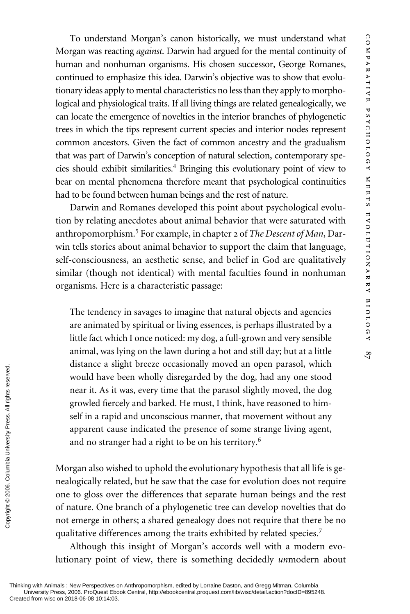To understand Morgan's canon historically, we must understand what Morgan was reacting *against*. Darwin had argued for the mental continuity of human and nonhuman organisms. His chosen successor, George Romanes, continued to emphasize this idea. Darwin's objective was to show that evolutionary ideas apply to mental characteristics no less than they apply to morphological and physiological traits. If all living things are related genealogically, we can locate the emergence of novelties in the interior branches of phylogenetic trees in which the tips represent current species and interior nodes represent common ancestors. Given the fact of common ancestry and the gradualism that was part of Darwin's conception of natural selection, contemporary species should exhibit similarities.<sup>4</sup> Bringing this evolutionary point of view to bear on mental phenomena therefore meant that psychological continuities had to be found between human beings and the rest of nature.

Darwin and Romanes developed this point about psychological evolution by relating anecdotes about animal behavior that were saturated with anthropomorphism.<sup>5</sup> For example, in chapter 2 of *The Descent of Man*, Darwin tells stories about animal behavior to support the claim that language, self-consciousness, an aesthetic sense, and belief in God are qualitatively similar (though not identical) with mental faculties found in nonhuman organisms. Here is a characteristic passage:

The tendency in savages to imagine that natural objects and agencies are animated by spiritual or living essences, is perhaps illustrated by a little fact which I once noticed: my dog, a full-grown and very sensible animal, was lying on the lawn during a hot and still day; but at a little distance a slight breeze occasionally moved an open parasol, which would have been wholly disregarded by the dog, had any one stood near it. As it was, every time that the parasol slightly moved, the dog growled fiercely and barked. He must, I think, have reasoned to himself in a rapid and unconscious manner, that movement without any apparent cause indicated the presence of some strange living agent, and no stranger had a right to be on his territory.<sup>6</sup>

Morgan also wished to uphold the evolutionary hypothesis that all life is genealogically related, but he saw that the case for evolution does not require one to gloss over the differences that separate human beings and the rest of nature. One branch of a phylogenetic tree can develop novelties that do not emerge in others; a shared genealogy does not require that there be no qualitative differences among the traits exhibited by related species.<sup>7</sup> CREAT THINKING WITH ANIMMIS: New Perspectives on 2018-06-08 10:14:03.<br>Created from wisc on 2018-06-08 10:14:03.<br>Created from wisc on 2018-06-08 10:14:03.<br>Created from wisc on 2018-06-08 10:14:03.

Although this insight of Morgan's accords well with a modern evolutionary point of view, there is something decidedly *un*modern about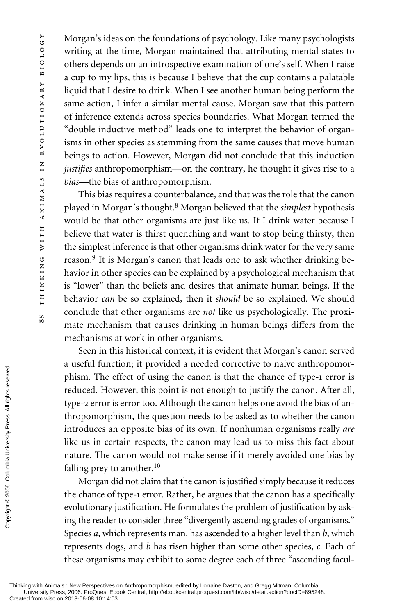88

Morgan's ideas on the foundations of psychology. Like many psychologists writing at the time, Morgan maintained that attributing mental states to others depends on an introspective examination of one's self. When I raise a cup to my lips, this is because I believe that the cup contains a palatable liquid that I desire to drink. When I see another human being perform the same action, I infer a similar mental cause. Morgan saw that this pattern of inference extends across species boundaries. What Morgan termed the "double inductive method" leads one to interpret the behavior of organisms in other species as stemming from the same causes that move human beings to action. However, Morgan did not conclude that this induction *justifies* anthropomorphism—on the contrary, he thought it gives rise to a *bias*—the bias of anthropomorphism.

This bias requires a counterbalance, and that was the role that the canon played in Morgan's thought.<sup>8</sup> Morgan believed that the *simplest* hypothesis would be that other organisms are just like us. If I drink water because I believe that water is thirst quenching and want to stop being thirsty, then the simplest inference is that other organisms drink water for the very same reason.<sup>9</sup> It is Morgan's canon that leads one to ask whether drinking behavior in other species can be explained by a psychological mechanism that is "lower" than the beliefs and desires that animate human beings. If the behavior *can* be so explained, then it *should* be so explained. We should conclude that other organisms are *not* like us psychologically. The proximate mechanism that causes drinking in human beings differs from the mechanisms at work in other organisms.

Seen in this historical context, it is evident that Morgan's canon served a useful function; it provided a needed corrective to naive anthropomorphism. The effect of using the canon is that the chance of type-1 error is reduced. However, this point is not enough to justify the canon. After all, type-2 error is error too. Although the canon helps one avoid the bias of anthropomorphism, the question needs to be asked as to whether the canon introduces an opposite bias of its own. If nonhuman organisms really *are* like us in certain respects, the canon may lead us to miss this fact about nature. The canon would not make sense if it merely avoided one bias by falling prey to another. $10$ Experimentation of the columbia University Press, 2006. ProQuest Ebo<br>Created from wisc on 2018-06-08 10:14:03.<br>Created from wisc on 2018-06-08 10:14:03.<br>Created from wisc on 2018-06-08 10:14:03.

Morgan did not claim that the canon is justified simply because it reduces the chance of type-1 error. Rather, he argues that the canon has a specifically evolutionary justification. He formulates the problem of justification by asking the reader to consider three "divergently ascending grades of organisms." Species *a*, which represents man, has ascended to a higher level than *b*, which represents dogs, and *b* has risen higher than some other species, *c*. Each of these organisms may exhibit to some degree each of three "ascending facul-

Thinking with Animals : New Perspectives on Anthropomorphism, edited by Lorraine Daston, and Gregg Mitman, Columbia University Press, 2006. ProQuest Ebook Central, http://ebookcentral.proquest.com/lib/wisc/detail.action?docID=895248.<br>Created from wisc on 2018-06-08 10:14:03.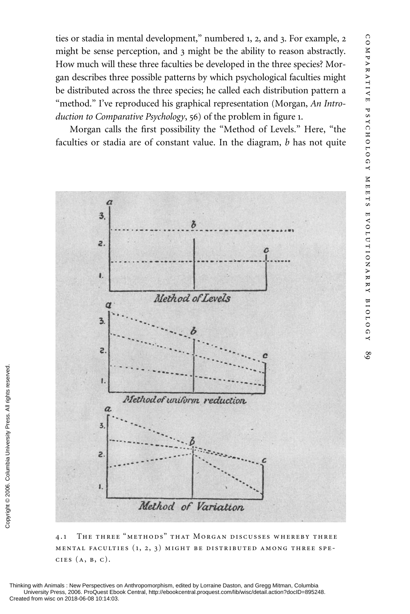ties or stadia in mental development," numbered 1, 2, and 3. For example, 2 might be sense perception, and 3 might be the ability to reason abstractly. How much will these three faculties be developed in the three species? Morgan describes three possible patterns by which psychological faculties might be distributed across the three species; he called each distribution pattern a "method." I've reproduced his graphical representation (Morgan, *An Introduction to Comparative Psychology*, 56) of the problem in figure 1.

Morgan calls the first possibility the "Method of Levels." Here, "the faculties or stadia are of constant value. In the diagram, *b* has not quite



4 . 1 The three "methods" that Morgan discusses whereby three MENTAL FACULTIES  $(1, 2, 3)$  MIGHT BE DISTRIBUTED AMONG THREE SPE-CIES  $(A, B, C)$ .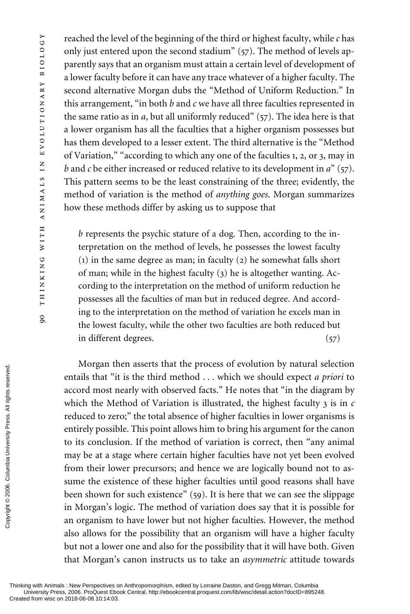reached the level of the beginning of the third or highest faculty, while *c* has only just entered upon the second stadium" (57). The method of levels apparently says that an organism must attain a certain level of development of a lower faculty before it can have any trace whatever of a higher faculty. The second alternative Morgan dubs the "Method of Uniform Reduction." In this arrangement, "in both *b* and *c* we have all three faculties represented in the same ratio as in *a*, but all uniformly reduced" (57). The idea here is that a lower organism has all the faculties that a higher organism possesses but has them developed to a lesser extent. The third alternative is the "Method of Variation," "according to which any one of the faculties 1, 2, or 3, may in *b* and *c* be either increased or reduced relative to its development in *a*" (57). This pattern seems to be the least constraining of the three; evidently, the method of variation is the method of *anything goes*. Morgan summarizes how these methods differ by asking us to suppose that

*b* represents the psychic stature of a dog. Then, according to the interpretation on the method of levels, he possesses the lowest faculty (1) in the same degree as man; in faculty (2) he somewhat falls short of man; while in the highest faculty (3) he is altogether wanting. According to the interpretation on the method of uniform reduction he possesses all the faculties of man but in reduced degree. And according to the interpretation on the method of variation he excels man in the lowest faculty, while the other two faculties are both reduced but in different degrees. (57)

Morgan then asserts that the process of evolution by natural selection entails that "it is the third method . . . which we should expect *a priori* to accord most nearly with observed facts." He notes that "in the diagram by which the Method of Variation is illustrated, the highest faculty 3 is in *c* reduced to zero;" the total absence of higher faculties in lower organisms is entirely possible. This point allows him to bring his argument for the canon to its conclusion. If the method of variation is correct, then "any animal may be at a stage where certain higher faculties have not yet been evolved from their lower precursors; and hence we are logically bound not to assume the existence of these higher faculties until good reasons shall have been shown for such existence" (59). It is here that we can see the slippage in Morgan's logic. The method of variation does say that it is possible for an organism to have lower but not higher faculties. However, the method also allows for the possibility that an organism will have a higher faculty but not a lower one and also for the possibility that it will have both. Given that Morgan's canon instructs us to take an *asymmetric* attitude towards From their bookstrategy and the exist of the media of the media of the media of the reduced to zer entirely possible to its conclusion may be at a state from their low sume the exist been shown for in Morgan's lower that M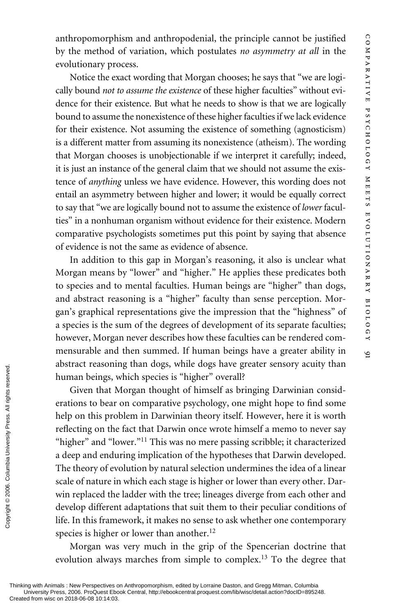anthropomorphism and anthropodenial, the principle cannot be justified by the method of variation, which postulates *no asymmetry at all* in the evolutionary process.

Notice the exact wording that Morgan chooses; he says that "we are logically bound *not to assume the existence* of these higher faculties" without evidence for their existence. But what he needs to show is that we are logically bound to assume the nonexistence of these higher faculties if we lack evidence for their existence. Not assuming the existence of something (agnosticism) is a different matter from assuming its nonexistence (atheism). The wording that Morgan chooses is unobjectionable if we interpret it carefully; indeed, it is just an instance of the general claim that we should not assume the existence of *anything* unless we have evidence. However, this wording does not entail an asymmetry between higher and lower; it would be equally correct to say that "we are logically bound not to assume the existence of *lower* faculties" in a nonhuman organism without evidence for their existence. Modern comparative psychologists sometimes put this point by saying that absence of evidence is not the same as evidence of absence.

In addition to this gap in Morgan's reasoning, it also is unclear what Morgan means by "lower" and "higher." He applies these predicates both to species and to mental faculties. Human beings are "higher" than dogs, and abstract reasoning is a "higher" faculty than sense perception. Morgan's graphical representations give the impression that the "highness" of a species is the sum of the degrees of development of its separate faculties; however, Morgan never describes how these faculties can be rendered commensurable and then summed. If human beings have a greater ability in abstract reasoning than dogs, while dogs have greater sensory acuity than human beings, which species is "higher" overall?

Given that Morgan thought of himself as bringing Darwinian considerations to bear on comparative psychology, one might hope to find some help on this problem in Darwinian theory itself. However, here it is worth reflecting on the fact that Darwin once wrote himself a memo to never say "higher" and "lower."<sup>11</sup> This was no mere passing scribble; it characterized a deep and enduring implication of the hypotheses that Darwin developed. The theory of evolution by natural selection undermines the idea of a linear scale of nature in which each stage is higher or lower than every other. Darwin replaced the ladder with the tree; lineages diverge from each other and develop different adaptations that suit them to their peculiar conditions of life. In this framework, it makes no sense to ask whether one contemporary species is higher or lower than another.<sup>12</sup> Experimentation is the model of the column of the model of the model of the model of the model of the columbia Created from wisc on 2018-06-08 10:14:03. Created from wisc on 2018-06-08 10:14:03.

Morgan was very much in the grip of the Spencerian doctrine that evolution always marches from simple to complex.<sup>13</sup> To the degree that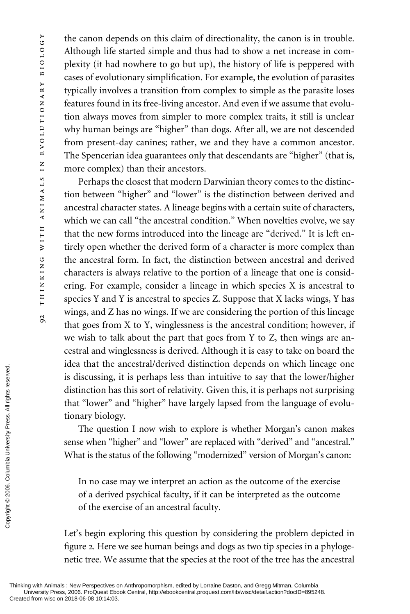the canon depends on this claim of directionality, the canon is in trouble. Although life started simple and thus had to show a net increase in complexity (it had nowhere to go but up), the history of life is peppered with cases of evolutionary simplification. For example, the evolution of parasites typically involves a transition from complex to simple as the parasite loses features found in its free-living ancestor. And even if we assume that evolution always moves from simpler to more complex traits, it still is unclear why human beings are "higher" than dogs. After all, we are not descended from present-day canines; rather, we and they have a common ancestor. The Spencerian idea guarantees only that descendants are "higher" (that is, more complex) than their ancestors.

Perhaps the closest that modern Darwinian theory comes to the distinction between "higher" and "lower" is the distinction between derived and ancestral character states. A lineage begins with a certain suite of characters, which we can call "the ancestral condition." When novelties evolve, we say that the new forms introduced into the lineage are "derived." It is left entirely open whether the derived form of a character is more complex than the ancestral form. In fact, the distinction between ancestral and derived characters is always relative to the portion of a lineage that one is considering. For example, consider a lineage in which species X is ancestral to species Y and Y is ancestral to species Z. Suppose that X lacks wings, Y has wings, and Z has no wings. If we are considering the portion of this lineage that goes from X to Y, winglessness is the ancestral condition; however, if we wish to talk about the part that goes from Y to Z, then wings are ancestral and winglessness is derived. Although it is easy to take on board the idea that the ancestral/derived distinction depends on which lineage one is discussing, it is perhaps less than intuitive to say that the lower/higher distinction has this sort of relativity. Given this, it is perhaps not surprising that "lower" and "higher" have largely lapsed from the language of evolutionary biology. Created from wisc on 2018-06-08 10:14:03.<br>Created from wisc on 2018-06-08 10:14:03.<br>Created from wisc on 2018-06-08 10:14:03.<br>Created from wisc on 2018-06-08 10:14:03.

The question I now wish to explore is whether Morgan's canon makes sense when "higher" and "lower" are replaced with "derived" and "ancestral." What is the status of the following "modernized" version of Morgan's canon:

In no case may we interpret an action as the outcome of the exercise of a derived psychical faculty, if it can be interpreted as the outcome of the exercise of an ancestral faculty.

Let's begin exploring this question by considering the problem depicted in figure 2. Here we see human beings and dogs as two tip species in a phylogenetic tree. We assume that the species at the root of the tree has the ancestral

Thinking with Animals : New Perspectives on Anthropomorphism, edited by Lorraine Daston, and Gregg Mitman, Columbia University Press, 2006. ProQuest Ebook Central, http://ebookcentral.proquest.com/lib/wisc/detail.action?docID=895248.<br>Created from wisc on 2018-06-08 10:14:03.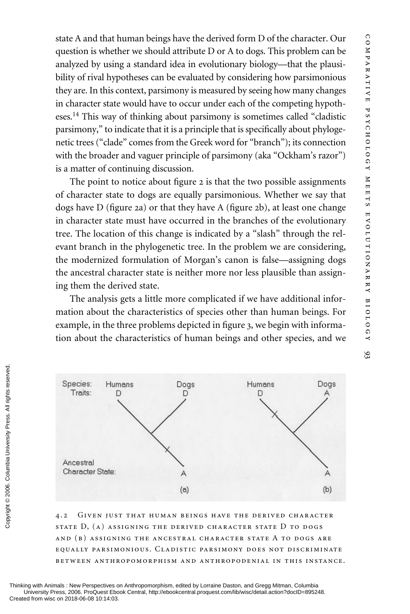93

state A and that human beings have the derived form D of the character. Our question is whether we should attribute D or A to dogs. This problem can be analyzed by using a standard idea in evolutionary biology—that the plausibility of rival hypotheses can be evaluated by considering how parsimonious they are. In this context, parsimony is measured by seeing how many changes in character state would have to occur under each of the competing hypotheses.<sup>14</sup> This way of thinking about parsimony is sometimes called "cladistic parsimony," to indicate that it is a principle that is specifically about phylogenetic trees ("clade" comes from the Greek word for "branch"); its connection with the broader and vaguer principle of parsimony (aka "Ockham's razor") is a matter of continuing discussion.

The point to notice about figure 2 is that the two possible assignments of character state to dogs are equally parsimonious. Whether we say that dogs have D (figure 2a) or that they have A (figure 2b), at least one change in character state must have occurred in the branches of the evolutionary tree. The location of this change is indicated by a "slash" through the relevant branch in the phylogenetic tree. In the problem we are considering, the modernized formulation of Morgan's canon is false—assigning dogs the ancestral character state is neither more nor less plausible than assigning them the derived state.

The analysis gets a little more complicated if we have additional information about the characteristics of species other than human beings. For example, in the three problems depicted in figure 3, we begin with information about the characteristics of human beings and other species, and we



4 . 2 Given just that human beings have the derived character STATE  $D$ ,  $(A)$  assigning the derived character state  $D$  to dogs AND (B) ASSIGNING THE ANCESTRAL CHARACTER STATE A TO DOGS ARE EQUALLY PARSIMONIOUS. CLADISTIC PARSIMONY DOES NOT DISCRIMINATE bet ween anthrop omorphism and anthrop odenial in this instance.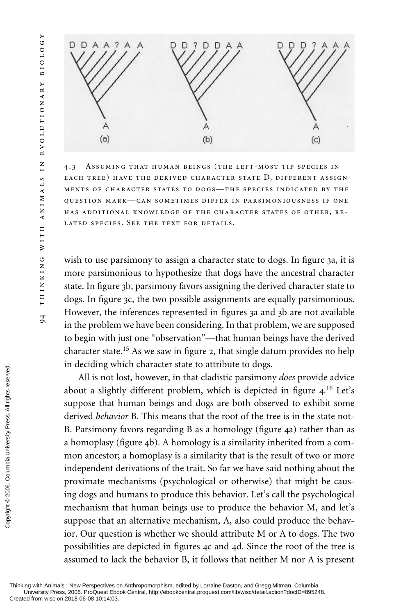

4.3 ASSUMING THAT HUMAN BEINGS (THE LEFT-MOST TIP SPECIES IN each tree) have the derived character state D, different assign-MENTS OF CHARACTER STATES TO DOGS-THE SPECIES INDICATED BY THE question mark—can sometimes differ in parsimoniousness if one has additional knowled ge of the character states of other, related species. See the text for details.

wish to use parsimony to assign a character state to dogs. In figure 3a, it is more parsimonious to hypothesize that dogs have the ancestral character state. In figure 3b, parsimony favors assigning the derived character state to dogs. In figure 3c, the two possible assignments are equally parsimonious. However, the inferences represented in figures 3a and 3b are not available in the problem we have been considering. In that problem, we are supposed to begin with just one "observation"—that human beings have the derived character state.<sup>15</sup> As we saw in figure 2, that single datum provides no help in deciding which character state to attribute to dogs.

All is not lost, however, in that cladistic parsimony *does* provide advice about a slightly different problem, which is depicted in figure 4.16 Let's suppose that human beings and dogs are both observed to exhibit some derived *behavior* B. This means that the root of the tree is in the state not-B. Parsimony favors regarding B as a homology (figure 4a) rather than as a homoplasy (figure 4b). A homology is a similarity inherited from a common ancestor; a homoplasy is a similarity that is the result of two or more independent derivations of the trait. So far we have said nothing about the proximate mechanisms (psychological or otherwise) that might be causing dogs and humans to produce this behavior. Let's call the psychological mechanism that human beings use to produce the behavior M, and let's suppose that an alternative mechanism, A, also could produce the behavior. Our question is whether we should attribute M or A to dogs. The two possibilities are depicted in figures 4c and 4d. Since the root of the tree is assumed to lack the behavior B, it follows that neither M nor A is present From the state of the state of the state of the state of the state of the state of the state of the state of the state of the state of the state of the state of the state of the state of the state of the state of the stat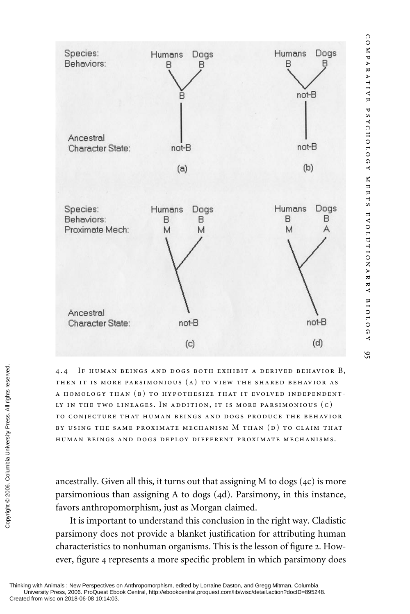

4.4 IF HUMAN BEINGS AND DOGS BOTH EXHIBIT A DERIVED BEHAVIOR B, then it is more parsimonious (a) to v iew the shared behav ior as a homolo g y than (b) to hy p othesize that it evolved independent-LY IN THE TWO LINEAGES. IN ADDITION, IT IS MORE PARSIMONIOUS  $(c)$ TO CONJECTURE THAT HUMAN BEINGS AND DOGS PRODUCE THE BEHAVIOR by using the same proximate mechanism M than (d) to claim that HUMAN BEINGS AND DOGS DEPLOY DIFFERENT PROXIMATE MECHANISMS. FROM THEN IT IS MORE IS THEN IT IS MORE IS THEN IT IS MORE A HOMOLOGY THE LY IN THE TWO IS TO CONJECTURE BY USING THE SAME INCREDING A HUMAN BEINGS A HUMAN BEINGS A HUMAN BEINGS A HUMAN BEINGS A HUMAN BEINGS A HUMAN BEINGS

ancestrally. Given all this, it turns out that assigning M to dogs (4c) is more parsimonious than assigning A to dogs (4d). Parsimony, in this instance, favors anthropomorphism, just as Morgan claimed.

It is important to understand this conclusion in the right way. Cladistic parsimony does not provide a blanket justification for attributing human characteristics to nonhuman organisms. This is the lesson of figure 2. However, figure 4 represents a more specific problem in which parsimony does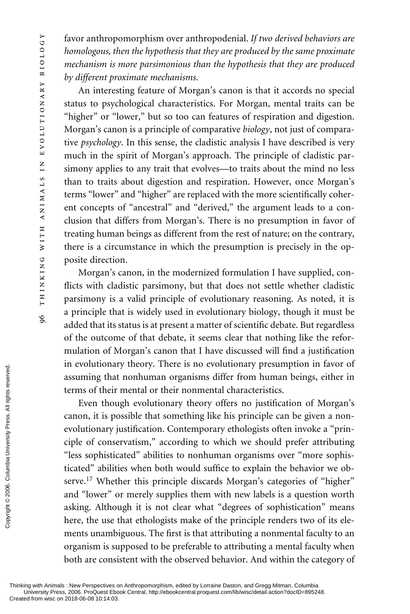favor anthropomorphism over anthropodenial. *If two derived behaviors are homologous, then the hypothesis that they are produced by the same proximate mechanism is more parsimonious than the hypothesis that they are produced by different proximate mechanisms*.

An interesting feature of Morgan's canon is that it accords no special status to psychological characteristics. For Morgan, mental traits can be "higher" or "lower," but so too can features of respiration and digestion. Morgan's canon is a principle of comparative *biology*, not just of comparative *psychology*. In this sense, the cladistic analysis I have described is very much in the spirit of Morgan's approach. The principle of cladistic parsimony applies to any trait that evolves—to traits about the mind no less than to traits about digestion and respiration. However, once Morgan's terms "lower" and "higher" are replaced with the more scientifically coherent concepts of "ancestral" and "derived," the argument leads to a conclusion that differs from Morgan's. There is no presumption in favor of treating human beings as different from the rest of nature; on the contrary, there is a circumstance in which the presumption is precisely in the opposite direction.

Morgan's canon, in the modernized formulation I have supplied, conflicts with cladistic parsimony, but that does not settle whether cladistic parsimony is a valid principle of evolutionary reasoning. As noted, it is a principle that is widely used in evolutionary biology, though it must be added that its status is at present a matter of scientific debate. But regardless of the outcome of that debate, it seems clear that nothing like the reformulation of Morgan's canon that I have discussed will find a justification in evolutionary theory. There is no evolutionary presumption in favor of assuming that nonhuman organisms differ from human beings, either in terms of their mental or their nonmental characteristics.

Even though evolutionary theory offers no justification of Morgan's canon, it is possible that something like his principle can be given a nonevolutionary justification. Contemporary ethologists often invoke a "principle of conservatism," according to which we should prefer attributing "less sophisticated" abilities to nonhuman organisms over "more sophisticated" abilities when both would suffice to explain the behavior we observe.<sup>17</sup> Whether this principle discards Morgan's categories of "higher" and "lower" or merely supplies them with new labels is a question worth asking. Although it is not clear what "degrees of sophistication" means here, the use that ethologists make of the principle renders two of its elements unambiguous. The first is that attributing a nonmental faculty to an organism is supposed to be preferable to attributing a mental faculty when both are consistent with the observed behavior. And within the category of Thinking with Animals : New Perspectives on 2018-06-08 10:14:03.<br>
Created from wisc on 2018-06-08 10:14:03.<br>
Created from wisc on 2018-06-08 10:14:03.<br>
Created from wisc on 2018-06-08 10:14:03.

Thinking with Animals : New Perspectives on Anthropomorphism, edited by Lorraine Daston, and Gregg Mitman, Columbia University Press, 2006. ProQuest Ebook Central, http://ebookcentral.proquest.com/lib/wisc/detail.action?docID=895248.<br>Created from wisc on 2018-06-08 10:14:03.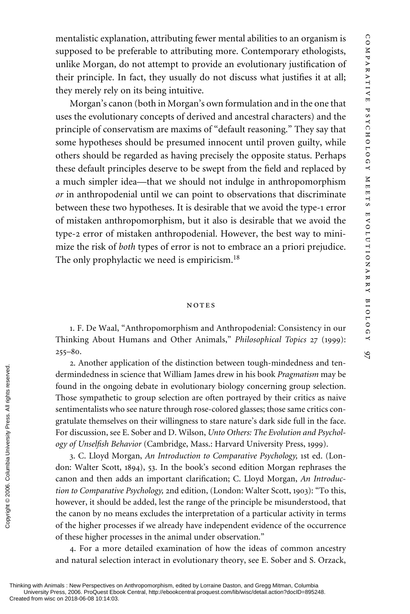mentalistic explanation, attributing fewer mental abilities to an organism is supposed to be preferable to attributing more. Contemporary ethologists, unlike Morgan, do not attempt to provide an evolutionary justification of their principle. In fact, they usually do not discuss what justifies it at all; they merely rely on its being intuitive.

Morgan's canon (both in Morgan's own formulation and in the one that uses the evolutionary concepts of derived and ancestral characters) and the principle of conservatism are maxims of "default reasoning." They say that some hypotheses should be presumed innocent until proven guilty, while others should be regarded as having precisely the opposite status. Perhaps these default principles deserve to be swept from the field and replaced by a much simpler idea—that we should not indulge in anthropomorphism *or* in anthropodenial until we can point to observations that discriminate between these two hypotheses. It is desirable that we avoid the type-1 error of mistaken anthropomorphism, but it also is desirable that we avoid the type-2 error of mistaken anthropodenial. However, the best way to minimize the risk of *both* types of error is not to embrace an a priori prejudice. The only prophylactic we need is empiricism.<sup>18</sup>

## notes

1. F. De Waal, "Anthropomorphism and Anthropodenial: Consistency in our Thinking About Humans and Other Animals," *Philosophical Topics* 27 (1999): 255–80.

2. Another application of the distinction between tough-mindedness and tendermindedness in science that William James drew in his book *Pragmatism* may be found in the ongoing debate in evolutionary biology concerning group selection. Those sympathetic to group selection are often portrayed by their critics as naive sentimentalists who see nature through rose-colored glasses; those same critics congratulate themselves on their willingness to stare nature's dark side full in the face. For discussion, see E. Sober and D. Wilson, *Unto Others: The Evolution and Psychology of Unselfish Behavior* (Cambridge, Mass.: Harvard University Press, 1999).

3. C. Lloyd Morgan, *An Introduction to Comparative Psychology,* 1st ed. (London: Walter Scott, 1894), 53. In the book's second edition Morgan rephrases the canon and then adds an important clarification; C. Lloyd Morgan, *An Introduction to Comparative Psychology,* 2nd edition, (London: Walter Scott, 1903): "To this, however, it should be added, lest the range of the principle be misunderstood, that the canon by no means excludes the interpretation of a particular activity in terms of the higher processes if we already have independent evidence of the occurrence of these higher processes in the animal under observation." Exercise the contract of the contract of the served from wisc on 2018-06-08 10:14:03.<br>Created from wisc on 2018-06-08 10:14:03.<br>Created from wisc on 2018-06-08 10:14:03.<br>Created from wisc on 2018-06-08 10:14:03.<br>Created fr

4. For a more detailed examination of how the ideas of common ancestry and natural selection interact in evolutionary theory, see E. Sober and S. Orzack,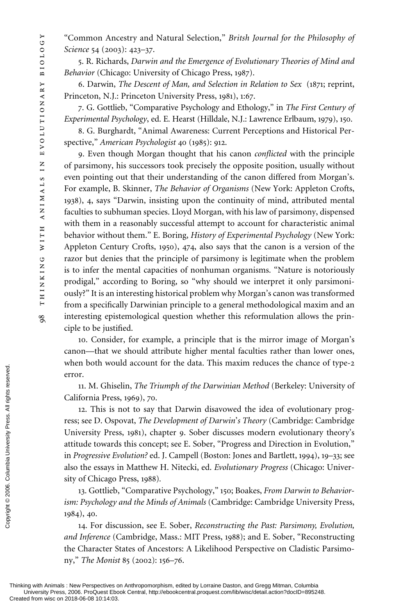**BIOLOGY**  t h i n k i n g w i t h a n i m a l s i n e v o l u t i o n a r y b i o l o g y EVOLUTIONARY  $\overline{a}$ ANIMALS  $\mathbb{H}$ Ë ₹  $\circ$ KIN  $\overline{1}$ **TH** 98 "Common Ancestry and Natural Selection," *Britsh Journal for the Philosophy of Science* 54 (2003): 423–37.

5. R. Richards, *Darwin and the Emergence of Evolutionary Theories of Mind and Behavior* (Chicago: University of Chicago Press, 1987).

6. Darwin, *The Descent of Man, and Selection in Relation to Sex* (1871; reprint, Princeton, N.J.: Princeton University Press, 1981), 1:67.

7. G. Gottlieb, "Comparative Psychology and Ethology," in *The First Century of Experimental Psychology*, ed. E. Hearst (Hilldale, N.J.: Lawrence Erlbaum, 1979), 150.

8. G. Burghardt, "Animal Awareness: Current Perceptions and Historical Perspective," *American Psychologist* 40 (1985): 912.

9. Even though Morgan thought that his canon *conflicted* with the principle of parsimony, his successors took precisely the opposite position, usually without even pointing out that their understanding of the canon differed from Morgan's. For example, B. Skinner, *The Behavior of Organisms* (New York: Appleton Crofts, 1938), 4, says "Darwin, insisting upon the continuity of mind, attributed mental faculties to subhuman species. Lloyd Morgan, with his law of parsimony, dispensed with them in a reasonably successful attempt to account for characteristic animal behavior without them." E. Boring, *History of Experimental Psychology* (New York: Appleton Century Crofts, 1950), 474, also says that the canon is a version of the razor but denies that the principle of parsimony is legitimate when the problem is to infer the mental capacities of nonhuman organisms. "Nature is notoriously prodigal," according to Boring, so "why should we interpret it only parsimoniously?" It is an interesting historical problem why Morgan's canon was transformed from a specifically Darwinian principle to a general methodological maxim and an interesting epistemological question whether this reformulation allows the principle to be justified.

10. Consider, for example, a principle that is the mirror image of Morgan's canon—that we should attribute higher mental faculties rather than lower ones, when both would account for the data. This maxim reduces the chance of type-2 error.

11. M. Ghiselin, *The Triumph of the Darwinian Method* (Berkeley: University of California Press, 1969), 70.

12. This is not to say that Darwin disavowed the idea of evolutionary progress; see D. Ospovat, *The Development of Darwin*'*s Theory* (Cambridge: Cambridge University Press, 1981), chapter 9. Sober discusses modern evolutionary theory's attitude towards this concept; see E. Sober, "Progress and Direction in Evolution," in *Progressive Evolution?* ed. J. Campell (Boston: Jones and Bartlett, 1994), 19–33; see also the essays in Matthew H. Nitecki, ed. *Evolutionary Progress* (Chicago: University of Chicago Press, 1988)*.* Created from wisc on 2018-06-08 10:14:03. Copyright © 2006. Columbia University Press. All rights reserved.

13. Gottlieb, "Comparative Psychology," 150; Boakes, *From Darwin to Behaviorism: Psychology and the Minds of Animals* (Cambridge: Cambridge University Press, 1984), 40.

14. For discussion, see E. Sober, *Reconstructing the Past: Parsimony, Evolution, and Inference* (Cambridge, Mass.: MIT Press, 1988); and E. Sober, "Reconstructing the Character States of Ancestors: A Likelihood Perspective on Cladistic Parsimony," *The Monist* 85 (2002): 156–76.